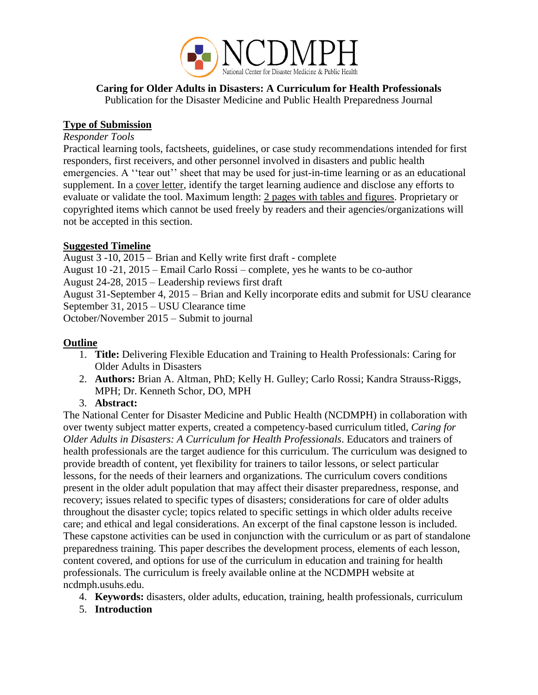

#### **Caring for Older Adults in Disasters: A Curriculum for Health Professionals** Publication for the Disaster Medicine and Public Health Preparedness Journal

#### **Type of Submission**

#### *Responder Tools*

Practical learning tools, factsheets, guidelines, or case study recommendations intended for first responders, first receivers, and other personnel involved in disasters and public health emergencies. A ''tear out'' sheet that may be used for just-in-time learning or as an educational supplement. In a cover letter, identify the target learning audience and disclose any efforts to evaluate or validate the tool. Maximum length: 2 pages with tables and figures. Proprietary or copyrighted items which cannot be used freely by readers and their agencies/organizations will not be accepted in this section.

#### **Suggested Timeline**

August 3 -10, 2015 – Brian and Kelly write first draft - complete August 10 -21, 2015 – Email Carlo Rossi – complete, yes he wants to be co-author August 24-28, 2015 – Leadership reviews first draft August 31-September 4, 2015 – Brian and Kelly incorporate edits and submit for USU clearance September 31, 2015 – USU Clearance time October/November 2015 – Submit to journal

#### **Outline**

- 1. **Title:** Delivering Flexible Education and Training to Health Professionals: Caring for Older Adults in Disasters
- 2. **Authors:** Brian A. Altman, PhD; Kelly H. Gulley; Carlo Rossi; Kandra Strauss-Riggs, MPH; Dr. Kenneth Schor, DO, MPH
- 3. **Abstract:**

The National Center for Disaster Medicine and Public Health (NCDMPH) in collaboration with over twenty subject matter experts, created a competency-based curriculum titled, *Caring for Older Adults in Disasters: A Curriculum for Health Professionals*. Educators and trainers of health professionals are the target audience for this curriculum. The curriculum was designed to provide breadth of content, yet flexibility for trainers to tailor lessons, or select particular lessons, for the needs of their learners and organizations. The curriculum covers conditions present in the older adult population that may affect their disaster preparedness, response, and recovery; issues related to specific types of disasters; considerations for care of older adults throughout the disaster cycle; topics related to specific settings in which older adults receive care; and ethical and legal considerations. An excerpt of the final capstone lesson is included. These capstone activities can be used in conjunction with the curriculum or as part of standalone preparedness training. This paper describes the development process, elements of each lesson, content covered, and options for use of the curriculum in education and training for health professionals. The curriculum is freely available online at the NCDMPH website at ncdmph.usuhs.edu.

- 4. **Keywords:** disasters, older adults, education, training, health professionals, curriculum
- 5. **Introduction**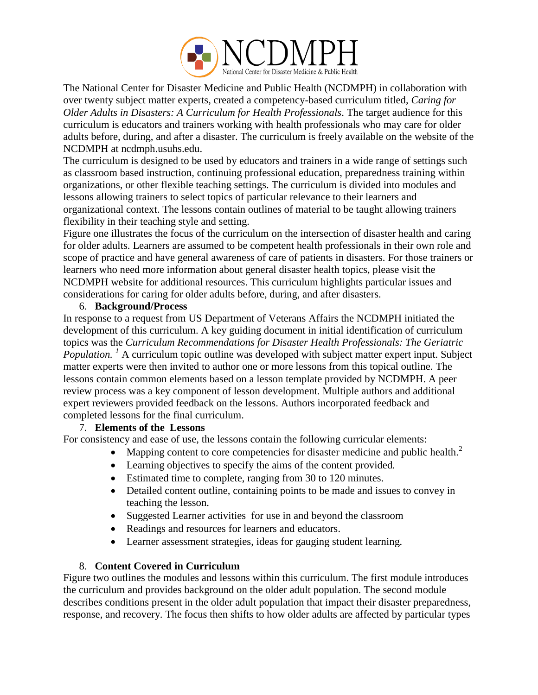

The National Center for Disaster Medicine and Public Health (NCDMPH) in collaboration with over twenty subject matter experts, created a competency-based curriculum titled, *Caring for Older Adults in Disasters: A Curriculum for Health Professionals*. The target audience for this curriculum is educators and trainers working with health professionals who may care for older adults before, during, and after a disaster. The curriculum is freely available on the website of the NCDMPH at ncdmph.usuhs.edu.

The curriculum is designed to be used by educators and trainers in a wide range of settings such as classroom based instruction, continuing professional education, preparedness training within organizations, or other flexible teaching settings. The curriculum is divided into modules and lessons allowing trainers to select topics of particular relevance to their learners and organizational context. The lessons contain outlines of material to be taught allowing trainers flexibility in their teaching style and setting.

Figure one illustrates the focus of the curriculum on the intersection of disaster health and caring for older adults. Learners are assumed to be competent health professionals in their own role and scope of practice and have general awareness of care of patients in disasters. For those trainers or learners who need more information about general disaster health topics, please visit the NCDMPH website for additional resources. This curriculum highlights particular issues and considerations for caring for older adults before, during, and after disasters.

#### 6. **Background/Process**

In response to a request from US Department of Veterans Affairs the NCDMPH initiated the development of this curriculum. A key guiding document in initial identification of curriculum topics was the *Curriculum Recommendations for Disaster Health Professionals: The Geriatric Population.* <sup>*I*</sup> A curriculum topic outline was developed with subject matter expert input. Subject matter experts were then invited to author one or more lessons from this topical outline. The lessons contain common elements based on a lesson template provided by NCDMPH. A peer review process was a key component of lesson development. Multiple authors and additional expert reviewers provided feedback on the lessons. Authors incorporated feedback and completed lessons for the final curriculum.

#### 7. **Elements of the Lessons**

For consistency and ease of use, the lessons contain the following curricular elements:

- Mapping content to core competencies for disaster medicine and public health. $^2$
- Learning objectives to specify the aims of the content provided*.*
- Estimated time to complete, ranging from 30 to 120 minutes.
- Detailed content outline, containing points to be made and issues to convey in teaching the lesson.
- Suggested Learner activities for use in and beyond the classroom
- Readings and resources for learners and educators.
- Learner assessment strategies, ideas for gauging student learning*.*

#### 8. **Content Covered in Curriculum**

Figure two outlines the modules and lessons within this curriculum. The first module introduces the curriculum and provides background on the older adult population. The second module describes conditions present in the older adult population that impact their disaster preparedness, response, and recovery. The focus then shifts to how older adults are affected by particular types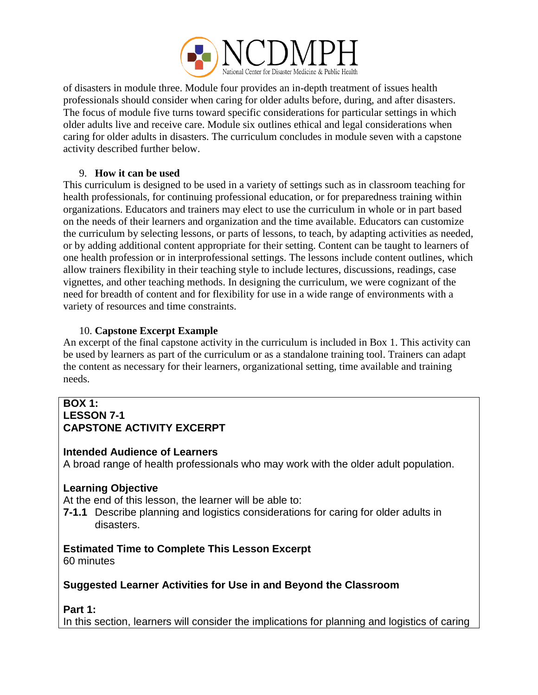

of disasters in module three. Module four provides an in-depth treatment of issues health professionals should consider when caring for older adults before, during, and after disasters. The focus of module five turns toward specific considerations for particular settings in which older adults live and receive care. Module six outlines ethical and legal considerations when caring for older adults in disasters. The curriculum concludes in module seven with a capstone activity described further below.

#### 9. **How it can be used**

This curriculum is designed to be used in a variety of settings such as in classroom teaching for health professionals, for continuing professional education, or for preparedness training within organizations. Educators and trainers may elect to use the curriculum in whole or in part based on the needs of their learners and organization and the time available. Educators can customize the curriculum by selecting lessons, or parts of lessons, to teach, by adapting activities as needed, or by adding additional content appropriate for their setting. Content can be taught to learners of one health profession or in interprofessional settings. The lessons include content outlines, which allow trainers flexibility in their teaching style to include lectures, discussions, readings, case vignettes, and other teaching methods. In designing the curriculum, we were cognizant of the need for breadth of content and for flexibility for use in a wide range of environments with a variety of resources and time constraints.

# 10. **Capstone Excerpt Example**

An excerpt of the final capstone activity in the curriculum is included in Box 1. This activity can be used by learners as part of the curriculum or as a standalone training tool. Trainers can adapt the content as necessary for their learners, organizational setting, time available and training needs.

#### **BOX 1: LESSON 7-1 CAPSTONE ACTIVITY EXCERPT**

#### **Intended Audience of Learners**

A broad range of health professionals who may work with the older adult population.

# **Learning Objective**

At the end of this lesson, the learner will be able to:

**7-1.1** Describe planning and logistics considerations for caring for older adults in disasters.

# **Estimated Time to Complete This Lesson Excerpt**

60 minutes

# **Suggested Learner Activities for Use in and Beyond the Classroom**

**Part 1:**

In this section, learners will consider the implications for planning and logistics of caring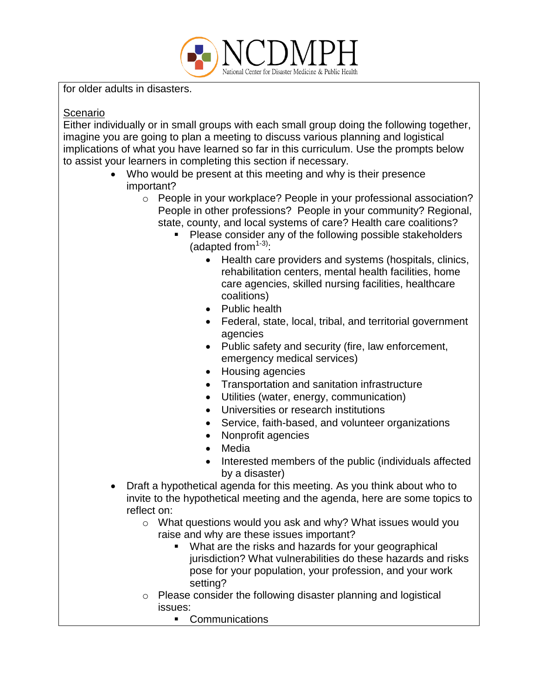

for older adults in disasters.

## Scenario

Either individually or in small groups with each small group doing the following together, imagine you are going to plan a meeting to discuss various planning and logistical implications of what you have learned so far in this curriculum. Use the prompts below to assist your learners in completing this section if necessary.

- Who would be present at this meeting and why is their presence important?
	- o People in your workplace? People in your professional association? People in other professions? People in your community? Regional, state, county, and local systems of care? Health care coalitions?
		- **Please consider any of the following possible stakeholders** (adapted from $1-3$ ):
			- Health care providers and systems (hospitals, clinics, rehabilitation centers, mental health facilities, home care agencies, skilled nursing facilities, healthcare coalitions)
			- Public health
			- Federal, state, local, tribal, and territorial government agencies
			- Public safety and security (fire, law enforcement, emergency medical services)
			- Housing agencies
			- Transportation and sanitation infrastructure
			- Utilities (water, energy, communication)
			- Universities or research institutions
			- Service, faith-based, and volunteer organizations
			- Nonprofit agencies
			- Media
			- Interested members of the public (individuals affected by a disaster)
- Draft a hypothetical agenda for this meeting. As you think about who to invite to the hypothetical meeting and the agenda, here are some topics to reflect on:
	- o What questions would you ask and why? What issues would you raise and why are these issues important?
		- What are the risks and hazards for your geographical jurisdiction? What vulnerabilities do these hazards and risks pose for your population, your profession, and your work setting?
	- o Please consider the following disaster planning and logistical issues:
		- **Communications**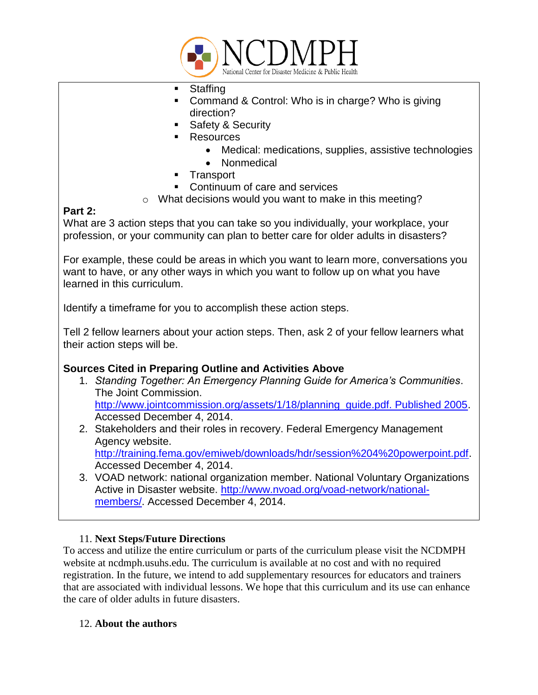

- **Staffing**
- Command & Control: Who is in charge? Who is giving direction?
- Safety & Security
- Resources
	- Medical: medications, supplies, assistive technologies
	- **Nonmedical**
- **Transport**
- Continuum of care and services
- o What decisions would you want to make in this meeting?

# **Part 2:**

What are 3 action steps that you can take so you individually, your workplace, your profession, or your community can plan to better care for older adults in disasters?

For example, these could be areas in which you want to learn more, conversations you want to have, or any other ways in which you want to follow up on what you have learned in this curriculum.

Identify a timeframe for you to accomplish these action steps.

Tell 2 fellow learners about your action steps. Then, ask 2 of your fellow learners what their action steps will be.

# **Sources Cited in Preparing Outline and Activities Above**

- 1. *Standing Together: An Emergency Planning Guide for America's Communities*. The Joint Commission. [http://www.jointcommission.org/assets/1/18/planning\\_guide.pdf. Published 2005.](http://www.jointcommission.org/assets/1/18/planning_guide.pdf.%20Published%202005) Accessed December 4, 2014.
- 2. Stakeholders and their roles in recovery. Federal Emergency Management Agency website. [http://training.fema.gov/emiweb/downloads/hdr/session%204%20powerpoint.pdf.](http://training.fema.gov/emiweb/downloads/hdr/session%204%20powerpoint.pdf) Accessed December 4, 2014.
- 3. VOAD network: national organization member. National Voluntary Organizations Active in Disaster website. [http://www.nvoad.org/voad-network/national](http://www.nvoad.org/voad-network/national-members/)[members/.](http://www.nvoad.org/voad-network/national-members/) Accessed December 4, 2014.

# 11. **Next Steps/Future Directions**

To access and utilize the entire curriculum or parts of the curriculum please visit the NCDMPH website at ncdmph.usuhs.edu. The curriculum is available at no cost and with no required registration. In the future, we intend to add supplementary resources for educators and trainers that are associated with individual lessons. We hope that this curriculum and its use can enhance the care of older adults in future disasters.

#### 12. **About the authors**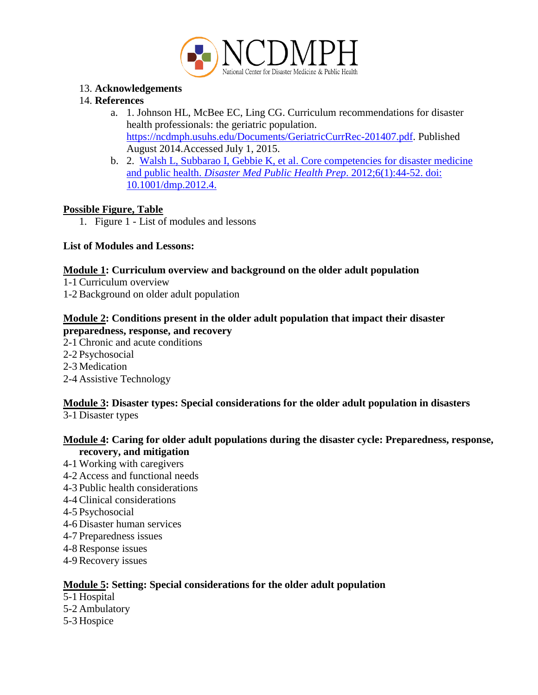

## 13. **Acknowledgements**

## 14. **References**

- a. 1. Johnson HL, McBee EC, Ling CG. Curriculum recommendations for disaster health professionals: the geriatric population. [https://ncdmph.usuhs.edu/Documents/GeriatricCurrRec-201407.pdf.](https://ncdmph.usuhs.edu/Documents/GeriatricCurrRec-201407.pdf) Published August 2014.Accessed July 1, 2015.
- b. 2. [Walsh L, Subbarao I, Gebbie K, et al. Core competencies for disaster medicine](http://ncdmph.usuhs.edu/KnowledgeLearning/2011-03AMA.htm)  and public health. *[Disaster Med Public Health Prep](http://ncdmph.usuhs.edu/KnowledgeLearning/2011-03AMA.htm)*. 2012;6(1):44-52. doi: [10.1001/dmp.2012.4.](http://ncdmph.usuhs.edu/KnowledgeLearning/2011-03AMA.htm)

### **Possible Figure, Table**

1. Figure 1 - List of modules and lessons

### **List of Modules and Lessons:**

### **Module 1: Curriculum overview and background on the older adult population**

- 1-1 Curriculum overview
- 1-2 Background on older adult population

# **Module 2: Conditions present in the older adult population that impact their disaster**

- **preparedness, response, and recovery**
- 2-1 Chronic and acute conditions
- 2-2 Psychosocial
- 2-3 Medication
- 2-4 Assistive Technology

# **Module 3: Disaster types: Special considerations for the older adult population in disasters**

3-1 Disaster types

### **Module 4: Caring for older adult populations during the disaster cycle: Preparedness, response, recovery, and mitigation**

- 4-1 Working with caregivers
- 4-2 Access and functional needs
- 4-3 Public health considerations
- 4-4 Clinical considerations
- 4-5 Psychosocial
- 4-6 Disaster human services
- 4-7 Preparedness issues
- 4-8 Response issues
- 4-9 Recovery issues

# **Module 5: Setting: Special considerations for the older adult population**

- 5-1 Hospital
- 5-2 Ambulatory
- 5-3 Hospice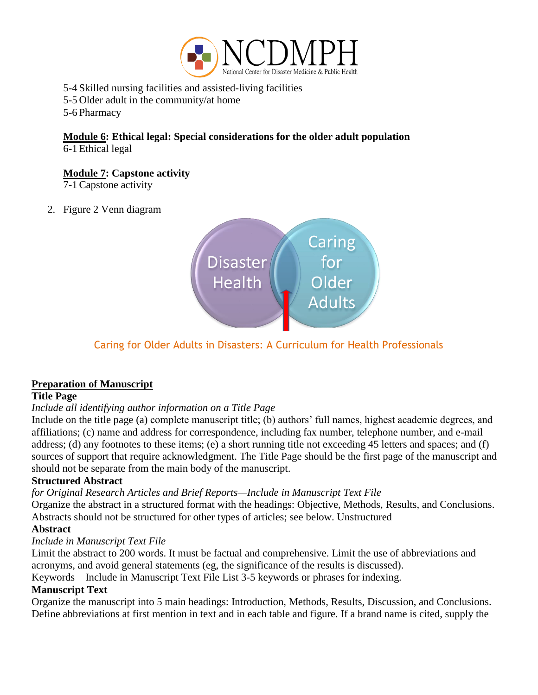

5-4 Skilled nursing facilities and assisted-living facilities

5-5 Older adult in the community/at home

5-6 Pharmacy

**Module 6: Ethical legal: Special considerations for the older adult population** 6-1 Ethical legal

**Module 7: Capstone activity** 

7-1 Capstone activity

### 2. Figure 2 Venn diagram



# Caring for Older Adults in Disasters: A Curriculum for Health Professionals

# **Preparation of Manuscript**

#### **Title Page**

# *Include all identifying author information on a Title Page*

Include on the title page (a) complete manuscript title; (b) authors' full names, highest academic degrees, and affiliations; (c) name and address for correspondence, including fax number, telephone number, and e-mail address; (d) any footnotes to these items; (e) a short running title not exceeding 45 letters and spaces; and (f) sources of support that require acknowledgment. The Title Page should be the first page of the manuscript and should not be separate from the main body of the manuscript.

# **Structured Abstract**

*for Original Research Articles and Brief Reports—Include in Manuscript Text File*

Organize the abstract in a structured format with the headings: Objective, Methods, Results, and Conclusions. Abstracts should not be structured for other types of articles; see below. Unstructured

#### **Abstract**

#### *Include in Manuscript Text File*

Limit the abstract to 200 words. It must be factual and comprehensive. Limit the use of abbreviations and acronyms, and avoid general statements (eg, the significance of the results is discussed).

Keywords—Include in Manuscript Text File List 3-5 keywords or phrases for indexing.

# **Manuscript Text**

Organize the manuscript into 5 main headings: Introduction, Methods, Results, Discussion, and Conclusions. Define abbreviations at first mention in text and in each table and figure. If a brand name is cited, supply the